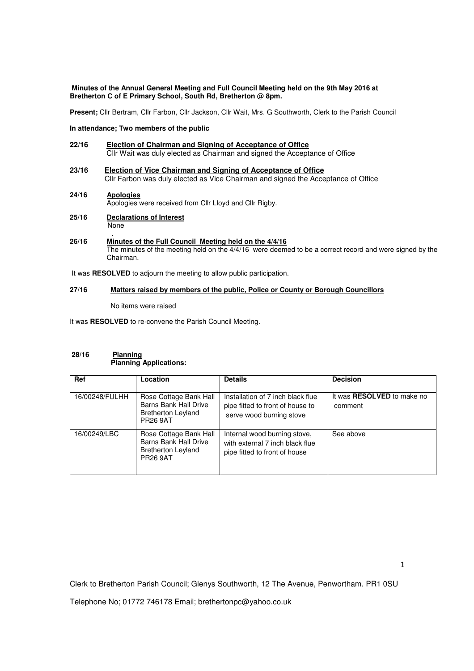## **Minutes of the Annual General Meeting and Full Council Meeting held on the 9th May 2016 at Bretherton C of E Primary School, South Rd, Bretherton @ 8pm.**

**Present;** Cllr Bertram, Cllr Farbon, Cllr Jackson, Cllr Wait, Mrs. G Southworth, Clerk to the Parish Council

# **In attendance; Two members of the public**

- **22/16 Election of Chairman and Signing of Acceptance of Office** Cllr Wait was duly elected as Chairman and signed the Acceptance of Office
- **23/16 Election of Vice Chairman and Signing of Acceptance of Office** Cllr Farbon was duly elected as Vice Chairman and signed the Acceptance of Office
- **24/16 Apologies** Apologies were received from Cllr Lloyd and Cllr Rigby.
- **25/16 Declarations of Interest** None
- . **26/16 Minutes of the Full Council Meeting held on the 4/4/16** The minutes of the meeting held on the 4/4/16 were deemed to be a correct record and were signed by the Chairman.

It was **RESOLVED** to adjourn the meeting to allow public participation.

# **27/16 Matters raised by members of the public, Police or County or Borough Councillors**

No items were raised

It was **RESOLVED** to re-convene the Parish Council Meeting.

# **28/16 Planning Planning Applications:**

| <b>Ref</b>     | Location                                                                                        | <b>Details</b>                                                                                    | <b>Decision</b>                              |
|----------------|-------------------------------------------------------------------------------------------------|---------------------------------------------------------------------------------------------------|----------------------------------------------|
| 16/00248/FULHH | Rose Cottage Bank Hall<br>Barns Bank Hall Drive<br><b>Bretherton Leyland</b><br><b>PR26 9AT</b> | Installation of 7 inch black flue<br>pipe fitted to front of house to<br>serve wood burning stove | It was <b>RESOLVED</b> to make no<br>comment |
| 16/00249/LBC   | Rose Cottage Bank Hall<br>Barns Bank Hall Drive<br><b>Bretherton Leyland</b><br><b>PR26 9AT</b> | Internal wood burning stove,<br>with external 7 inch black flue<br>pipe fitted to front of house  | See above                                    |

Clerk to Bretherton Parish Council; Glenys Southworth, 12 The Avenue, Penwortham. PR1 0SU

Telephone No; 01772 746178 Email; brethertonpc@yahoo.co.uk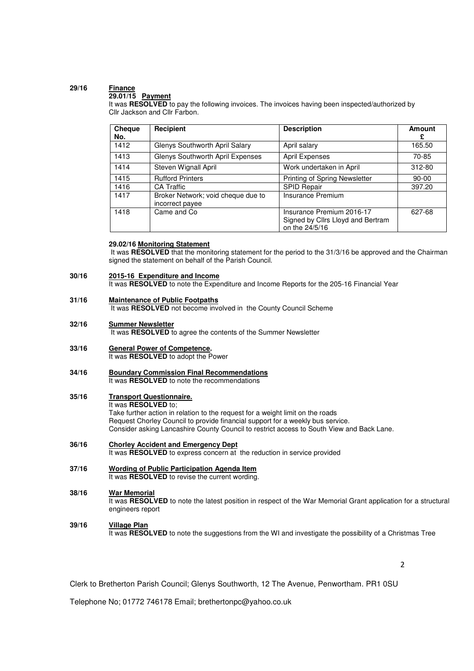# **29/16 Finance**

## **29.01/15 Payment**

It was **RESOLVED** to pay the following invoices. The invoices having been inspected/authorized by Cllr Jackson and Cllr Farbon.

| Cheque<br>No. | Recipient                                             | <b>Description</b>                                                               | Amount<br>£ |
|---------------|-------------------------------------------------------|----------------------------------------------------------------------------------|-------------|
| 1412          | Glenys Southworth April Salary                        | April salary                                                                     | 165.50      |
| 1413          | Glenys Southworth April Expenses                      | <b>April Expenses</b>                                                            | 70-85       |
| 1414          | Steven Wignall April                                  | Work undertaken in April                                                         | 312-80      |
| 1415          | <b>Rufford Printers</b>                               | Printing of Spring Newsletter                                                    | $90 - 00$   |
| 1416          | <b>CA Traffic</b>                                     | SPID Repair                                                                      | 397.20      |
| 1417          | Broker Network; void cheque due to<br>incorrect payee | Insurance Premium                                                                |             |
| 1418          | Came and Co                                           | Insurance Premium 2016-17<br>Signed by Cllrs Lloyd and Bertram<br>on the 24/5/16 | 627-68      |

## **29.02/16 Monitoring Statement**

It was **RESOLVED** that the monitoring statement for the period to the 31/3/16 be approved and the Chairman signed the statement on behalf of the Parish Council.

#### **30/16 2015-16 Expenditure and Income**

It was **RESOLVED** to note the Expenditure and Income Reports for the 205-16 Financial Year

#### **31/16 Maintenance of Public Footpaths**

It was **RESOLVED** not become involved in the County Council Scheme

**32/16 Summer Newsletter**

It was **RESOLVED** to agree the contents of the Summer Newsletter

- **33/16 General Power of Competence.**  It was **RESOLVED** to adopt the Power
- **34/16 Boundary Commission Final Recommendations** It was **RESOLVED** to note the recommendations
- **35/16 Transport Questionnaire.**  It was **RESOLVED** to;

Take further action in relation to the request for a weight limit on the roads Request Chorley Council to provide financial support for a weekly bus service. Consider asking Lancashire County Council to restrict access to South View and Back Lane.

**36/16 Chorley Accident and Emergency Dept** It was **RESOLVED** to express concern at the reduction in service provided

### **37/16 Wording of Public Participation Agenda Item**

It was **RESOLVED** to revise the current wording.

#### **38/16 War Memorial**

It was RESOLVED to note the latest position in respect of the War Memorial Grant application for a structural engineers report

#### **39/16 Village Plan**

It was **RESOLVED** to note the suggestions from the WI and investigate the possibility of a Christmas Tree

2

Clerk to Bretherton Parish Council; Glenys Southworth, 12 The Avenue, Penwortham. PR1 0SU

Telephone No; 01772 746178 Email; brethertonpc@yahoo.co.uk